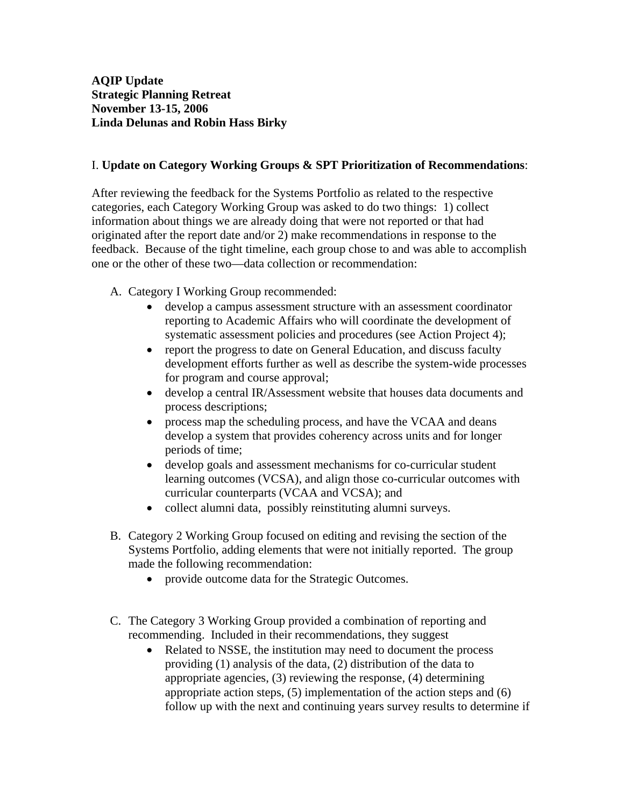## I. **Update on Category Working Groups & SPT Prioritization of Recommendations**:

After reviewing the feedback for the Systems Portfolio as related to the respective categories, each Category Working Group was asked to do two things: 1) collect information about things we are already doing that were not reported or that had originated after the report date and/or 2) make recommendations in response to the feedback. Because of the tight timeline, each group chose to and was able to accomplish one or the other of these two—data collection or recommendation:

- A. Category I Working Group recommended:
	- develop a campus assessment structure with an assessment coordinator reporting to Academic Affairs who will coordinate the development of systematic assessment policies and procedures (see Action Project 4);
	- report the progress to date on General Education, and discuss faculty development efforts further as well as describe the system-wide processes for program and course approval;
	- develop a central IR/Assessment website that houses data documents and process descriptions;
	- process map the scheduling process, and have the VCAA and deans develop a system that provides coherency across units and for longer periods of time;
	- develop goals and assessment mechanisms for co-curricular student learning outcomes (VCSA), and align those co-curricular outcomes with curricular counterparts (VCAA and VCSA); and
	- collect alumni data, possibly reinstituting alumni surveys.
- B. Category 2 Working Group focused on editing and revising the section of the Systems Portfolio, adding elements that were not initially reported. The group made the following recommendation:
	- provide outcome data for the Strategic Outcomes.
- C. The Category 3 Working Group provided a combination of reporting and recommending. Included in their recommendations, they suggest
	- Related to NSSE, the institution may need to document the process providing (1) analysis of the data, (2) distribution of the data to appropriate agencies, (3) reviewing the response, (4) determining appropriate action steps, (5) implementation of the action steps and (6) follow up with the next and continuing years survey results to determine if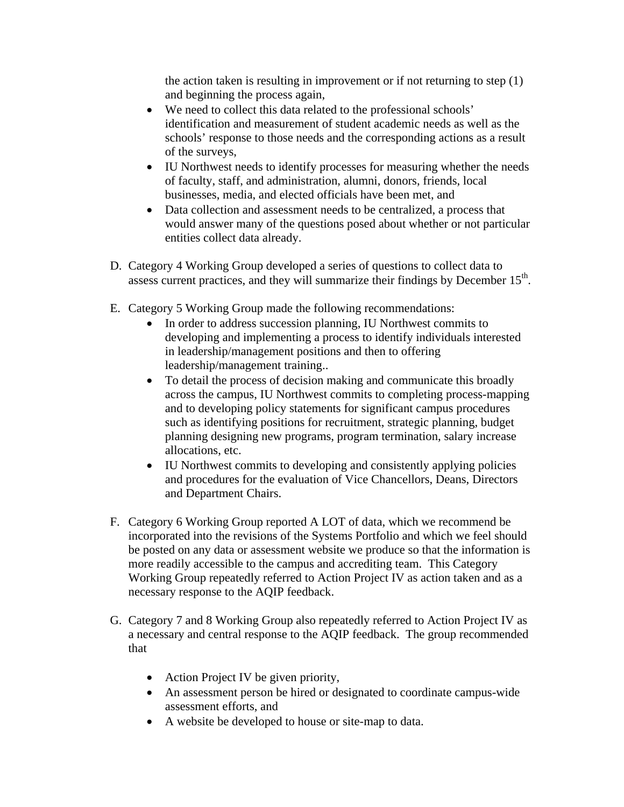the action taken is resulting in improvement or if not returning to step (1) and beginning the process again,

- We need to collect this data related to the professional schools' identification and measurement of student academic needs as well as the schools' response to those needs and the corresponding actions as a result of the surveys,
- IU Northwest needs to identify processes for measuring whether the needs of faculty, staff, and administration, alumni, donors, friends, local businesses, media, and elected officials have been met, and
- Data collection and assessment needs to be centralized, a process that would answer many of the questions posed about whether or not particular entities collect data already.
- D. Category 4 Working Group developed a series of questions to collect data to assess current practices, and they will summarize their findings by December  $15<sup>th</sup>$ .
- E. Category 5 Working Group made the following recommendations:
	- In order to address succession planning, IU Northwest commits to developing and implementing a process to identify individuals interested in leadership/management positions and then to offering leadership/management training..
	- To detail the process of decision making and communicate this broadly across the campus, IU Northwest commits to completing process-mapping and to developing policy statements for significant campus procedures such as identifying positions for recruitment, strategic planning, budget planning designing new programs, program termination, salary increase allocations, etc.
	- IU Northwest commits to developing and consistently applying policies and procedures for the evaluation of Vice Chancellors, Deans, Directors and Department Chairs.
- F. Category 6 Working Group reported A LOT of data, which we recommend be incorporated into the revisions of the Systems Portfolio and which we feel should be posted on any data or assessment website we produce so that the information is more readily accessible to the campus and accrediting team. This Category Working Group repeatedly referred to Action Project IV as action taken and as a necessary response to the AQIP feedback.
- G. Category 7 and 8 Working Group also repeatedly referred to Action Project IV as a necessary and central response to the AQIP feedback. The group recommended that
	- Action Project IV be given priority,
	- An assessment person be hired or designated to coordinate campus-wide assessment efforts, and
	- A website be developed to house or site-map to data.